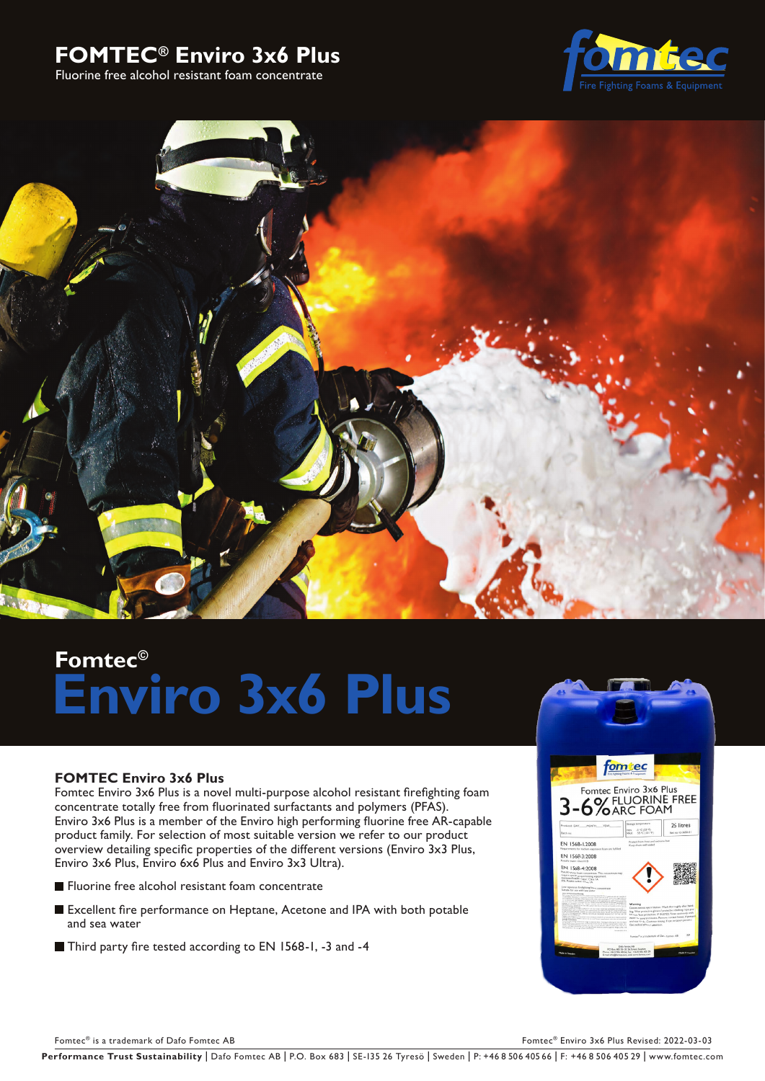# **FOMTEC® Enviro 3x6 Plus**

Fluorine free alcohol resistant foam concentrate





# **Fomtec© Enviro 3x6 Plus**

# **FOMTEC Enviro 3x6 Plus**

Fomtec Enviro 3x6 Plus is a novel multi-purpose alcohol resistant firefighting foam concentrate totally free from fluorinated surfactants and polymers (PFAS). Enviro 3x6 Plus is a member of the Enviro high performing fluorine free AR-capable product family. For selection of most suitable version we refer to our product overview detailing specific properties of the different versions (Enviro 3x3 Plus, Enviro 3x6 Plus, Enviro 6x6 Plus and Enviro 3x3 Ultra).

- **Fluorine free alcohol resistant foam concentrate**
- Excellent fire performance on Heptane, Acetone and IPA with both potable and sea water
- Third party fire tested according to EN 1568-1, -3 and -4



Fomtec® is a trademark of Dafo Fomtec AB Formula and the Community of Dafo Formula and the Service 3x6 Plus Revised: 2022-03-03

Performance Trust Sustainability | Dafo Fomtec AB | P.O. Box 683 | SE-135 26 Tyresö | Sweden | P: +46 8 506 405 66 | F: +46 8 506 405 29 | www.fomtec.com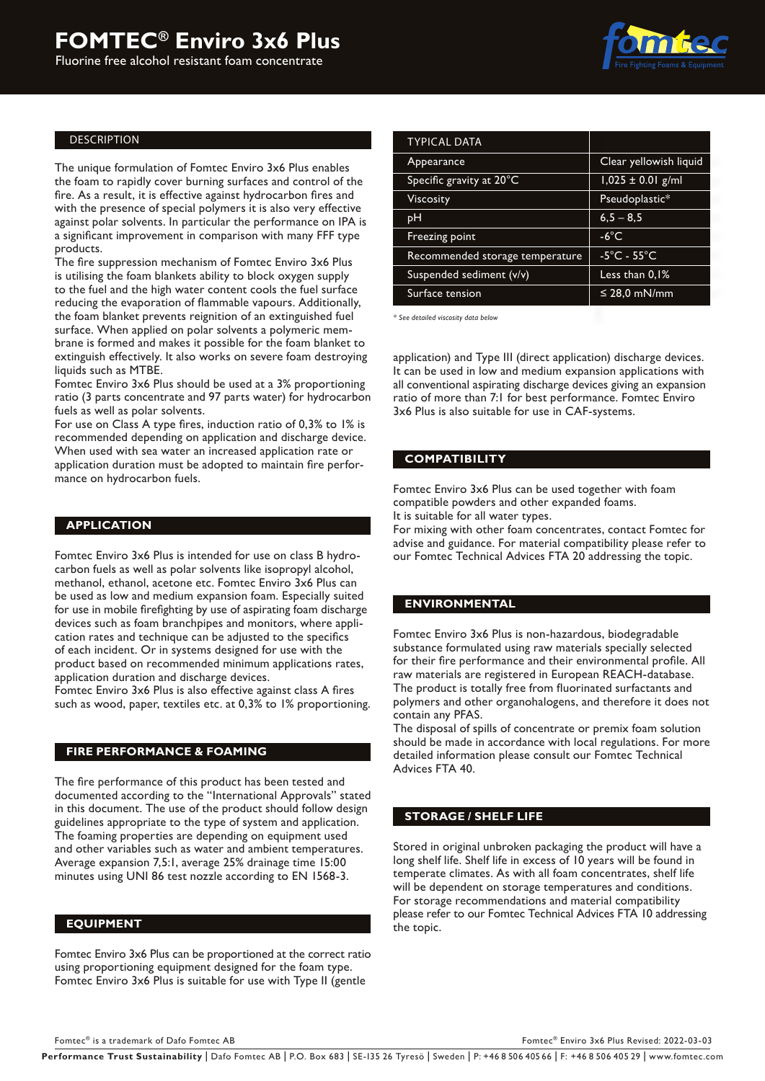Fluorine free alcohol resistant foam concentrate



#### DESCRIPTION

The unique formulation of Fomtec Enviro 3x6 Plus enables the foam to rapidly cover burning surfaces and control of the fire. As a result, it is effective against hydrocarbon fires and with the presence of special polymers it is also very effective against polar solvents. In particular the performance on IPA is a significant improvement in comparison with many FFF type products.

The fire suppression mechanism of Fomtec Enviro 3x6 Plus is utilising the foam blankets ability to block oxygen supply to the fuel and the high water content cools the fuel surface reducing the evaporation of flammable vapours. Additionally, the foam blanket prevents reignition of an extinguished fuel surface. When applied on polar solvents a polymeric membrane is formed and makes it possible for the foam blanket to extinguish effectively. It also works on severe foam destroying liquids such as MTBE.

Fomtec Enviro 3x6 Plus should be used at a 3% proportioning ratio (3 parts concentrate and 97 parts water) for hydrocarbon fuels as well as polar solvents.

For use on Class A type fires, induction ratio of 0,3% to 1% is recommended depending on application and discharge device. When used with sea water an increased application rate or application duration must be adopted to maintain fire performance on hydrocarbon fuels.

#### **APPLICATION**

Fomtec Enviro 3x6 Plus is intended for use on class B hydrocarbon fuels as well as polar solvents like isopropyl alcohol, methanol, ethanol, acetone etc. Fomtec Enviro 3x6 Plus can be used as low and medium expansion foam. Especially suited for use in mobile firefighting by use of aspirating foam discharge devices such as foam branchpipes and monitors, where application rates and technique can be adjusted to the specifics of each incident. Or in systems designed for use with the product based on recommended minimum applications rates, application duration and discharge devices.

Fomtec Enviro 3x6 Plus is also effective against class A fires such as wood, paper, textiles etc. at 0,3% to 1% proportioning.

#### **FIRE PERFORMANCE & FOAMING**

The fire performance of this product has been tested and documented according to the "International Approvals" stated in this document. The use of the product should follow design guidelines appropriate to the type of system and application. The foaming properties are depending on equipment used and other variables such as water and ambient temperatures. Average expansion 7,5:1, average 25% drainage time 15:00 minutes using UNI 86 test nozzle according to EN 1568-3.

## **EQUIPMENT**

Fomtec Enviro 3x6 Plus can be proportioned at the correct ratio using proportioning equipment designed for the foam type. Fomtec Enviro 3x6 Plus is suitable for use with Type II (gentle

| TYPICAL DATA                    |                        |
|---------------------------------|------------------------|
| Appearance                      | Clear yellowish liquid |
| Specific gravity at 20°C        | $1,025 \pm 0.01$ g/ml  |
| Viscosity                       | Pseudoplastic*         |
| рH                              | $6,5 - 8,5$            |
| Freezing point                  | $-6^{\circ}$ C         |
| Recommended storage temperature | -5°C - 55°C            |
| Suspended sediment (v/v)        | Less than 0.1%         |
| Surface tension                 | $\leq$ 28.0 mN/mm      |
|                                 |                        |

*\* See detailed viscosity data below*

application) and Type III (direct application) discharge devices. It can be used in low and medium expansion applications with all conventional aspirating discharge devices giving an expansion ratio of more than 7:1 for best performance. Fomtec Enviro 3x6 Plus is also suitable for use in CAF-systems.

#### **COMPATIBILITY**

Fomtec Enviro 3x6 Plus can be used together with foam compatible powders and other expanded foams. It is suitable for all water types.

For mixing with other foam concentrates, contact Fomtec for advise and guidance. For material compatibility please refer to our Fomtec Technical Advices FTA 20 addressing the topic.

#### **ENVIRONMENTAL**

Fomtec Enviro 3x6 Plus is non-hazardous, biodegradable substance formulated using raw materials specially selected for their fire performance and their environmental profile. All raw materials are registered in European REACH-database. The product is totally free from fluorinated surfactants and polymers and other organohalogens, and therefore it does not contain any PFAS.

The disposal of spills of concentrate or premix foam solution should be made in accordance with local regulations. For more detailed information please consult our Fomtec Technical Advices FTA 40.

#### **STORAGE / SHELF LIFE**

Stored in original unbroken packaging the product will have a long shelf life. Shelf life in excess of 10 years will be found in temperate climates. As with all foam concentrates, shelf life will be dependent on storage temperatures and conditions. For storage recommendations and material compatibility please refer to our Fomtec Technical Advices FTA 10 addressing the topic.